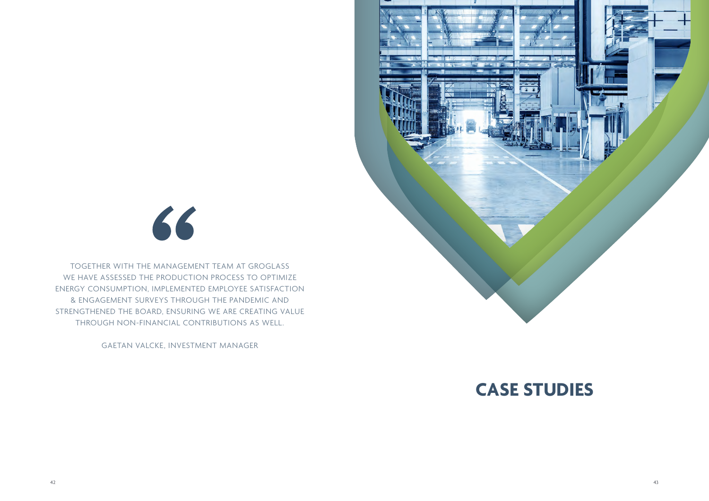

TOGETHER WITH THE MANAGEMENT TEAM AT GROGLASS WE HAVE ASSESSED THE PRODUCTION PROCESS TO OPTIMIZE ENERGY CONSUMPTION, IMPLEMENTED EMPLOYEE SATISFACTION & ENGAGEMENT SURVEYS THROUGH THE PANDEMIC AND STRENGTHENED THE BOARD, ENSURING WE ARE CREATING VALUE THROUGH NON-FINANCIAL CONTRIBUTIONS AS WELL.

GAETAN VALCKE, INVESTMENT MANAGER



**CASE STUDIES**

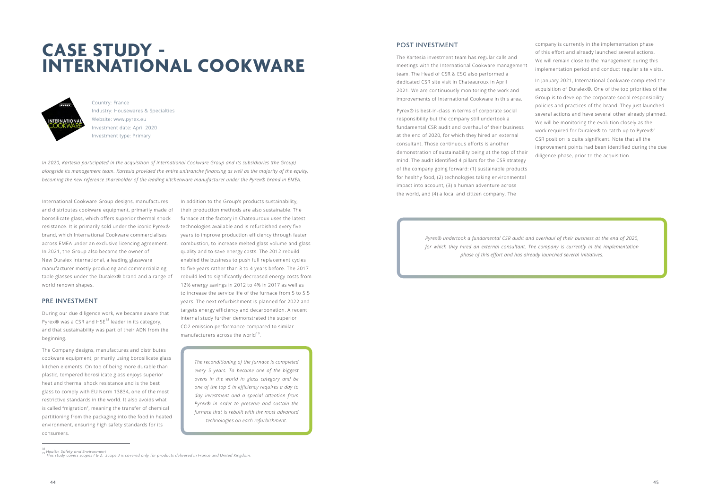# **CASE STUDY - INTERNATIONAL COOKWARE**



*In 2020, Kartesia participated in the acquisition of International Cookware Group and its subsidiaries (the Group) alongside its management team. Kartesia provided the entire unitranche financing as well as the majority of the equity, becoming the new reference shareholder of the leading kitchenware manufacturer under the Pyrex® brand in EMEA.* 

Country: France Industry: Housewares & Specialties Website: www.pyrex.eu Investment date: April 2020 Investment type: Primary

International Cookware Group designs, manufactures and distributes cookware equipment, primarily made of borosilicate glass, which offers superior thermal shock resistance. It is primarily sold under the iconic Pyrex® brand, which International Cookware commercialises across EMEA under an exclusive licencing agreement. In 2021, the Group also became the owner of New Duralex International, a leading glassware manufacturer mostly producing and commercializing table glasses under the Duralex® brand and a range of world renown shapes.

In addition to the Group's products sustainability, their production methods are also sustainable. The furnace at the factory in Chateauroux uses the latest technologies available and is refurbished every five years to improve production efficiency through faster combustion, to increase melted glass volume and glass quality and to save energy costs. The 2012 rebuild enabled the business to push full replacement cycles to five years rather than 3 to 4 years before. The 2017 rebuild led to significantly decreased energy costs from 12% energy savings in 2012 to 4% in 2017 as well as to increase the service life of the furnace from 5 to 5.5 years. The next refurbishment is planned for 2022 and targets energy efficiency and decarbonation. A recent internal study further demonstrated the superior CO2 emission performance compared to similar manufacturers across the world $19$ .

#### PRE INVESTMENT

During our due diligence work, we became aware that Pyrex® was a CSR and HSE<sup>18</sup> leader in its category, and that sustainability was part of their ADN from the beginning.

The Company designs, manufactures and distributes cookware equipment, primarily using borosilicate glass kitchen elements. On top of being more durable than plastic, tempered borosilicate glass enjoys superior heat and thermal shock resistance and is the best glass to comply with EU Norm 13834, one of the most restrictive standards in the world. It also avoids what is called "migration", meaning the transfer of chemical partitioning from the packaging into the food in heated environment, ensuring high safety standards for its consumers.

*The reconditioning of the furnace is completed every 5 years. To become one of the biggest ovens in the world in glass category and be one of the top 5 in efficiency requires a day to day investment and a special attention from Pyrex® in order to preserve and sustain the furnace that is rebuilt with the most advanced technologies on each refurbishment.* 

## POST INVESTMENT

The Kartesia investment team has regular calls and meetings with the International Cookware management team. The Head of CSR & ESG also performed a dedicated CSR site visit in Chateauroux in April 2021. We are continuously monitoring the work and improvements of International Cookware in this area.

Pyrex® is best-in-class in terms of corporate social responsibility but the company still undertook a fundamental CSR audit and overhaul of their business at the end of 2020, for which they hired an external consultant. Those continuous efforts is another demonstration of sustainability being at the top of their mind. The audit identified 4 pillars for the CSR strategy of the company going forward: (1) sustainable products for healthy food, (2) technologies taking environmental impact into account, (3) a human adventure across the world, and (4) a local and citizen company. The

company is currently in the implementation phase of this effort and already launched several actions. We will remain close to the management during this implementation period and conduct regular site visits.

In January 2021, International Cookware completed the acquisition of Duralex®. One of the top priorities of the Group is to develop the corporate social responsibility policies and practices of the brand. They just launched several actions and have several other already planned. We will be monitoring the evolution closely as the work required for Duralex® to catch up to Pyrex®' CSR position is quite significant. Note that all the improvement points had been identified during the due diligence phase, prior to the acquisition.

*Pyrex® undertook a fundamental CSR audit and overhaul of their business at the end of 2020, for which they hired an external consultant. The company is currently in the implementation phase of this effort and has already launched several initiatives.* 

*<sup>18</sup> Health, Safety and Environment 19 This study covers scopes 1 & 2. Scope 3 is covered only for products delivered in France and United Kingdom.*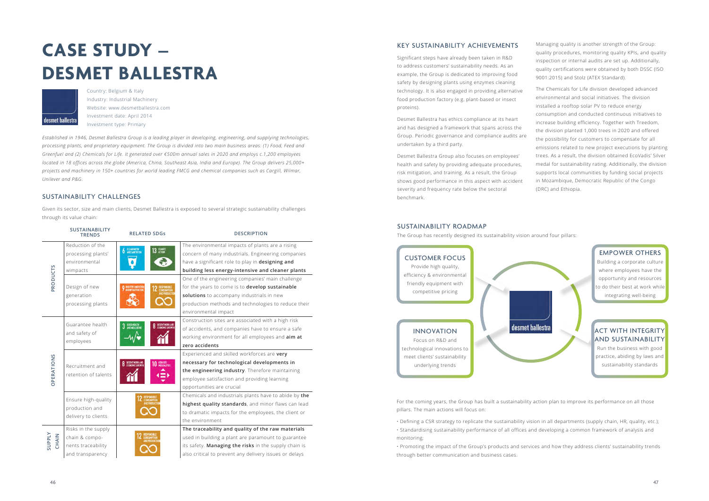# **CASE STUDY – DESMET BALLESTRA**



*Established in 1946, Desmet Ballestra Group is a leading player in developing, engineering, and supplying technologies, processing plants, and proprietary equipment. The Group is divided into two main business areas: (1) Food, Feed and Greenfuel and (2) Chemicals for Life. It generated over €500m annual sales in 2020 and employs c.1,200 employees located in 18 offices across the globe (America, China, Southeast Asia, India and Europe). The Group delivers 25,000+ projects and machinery in 150+ countries for world leading FMCG and chemical companies such as Cargill, Wilmar, Unilever and P&G.*

Country: Belgium & Italy Industry: Industrial Machinery Website: www.desmetballestra.com Investment date: April 2014 Investment type: Primary

# SUSTAINABILITY CHALLENGES

Given its sector, size and main clients, Desmet Ballestra is exposed to several strategic sustainability challenges through its value chain:

|                        | <b>SUSTAINABILITY</b><br><b>TRENDS</b>           | <b>RELATED SDGs</b>                                       | <b>DESCRIPTION</b>                                     |
|------------------------|--------------------------------------------------|-----------------------------------------------------------|--------------------------------------------------------|
| PRODUCTS               | Reduction of the                                 | ELEAN WATER<br>AND SANITATION<br><b>CLIMATE</b><br>ACTION | The environmental impacts of plants are a rising       |
|                        | processing plants'                               |                                                           | concern of many industrials. Engineering companies     |
|                        | environmental                                    |                                                           | have a significant role to play in designing and       |
|                        | wimpacts                                         |                                                           | building less energy-intensive and cleaner plants      |
|                        |                                                  |                                                           | One of the engineering companies' main challenge       |
|                        | Design of new<br>generation<br>processing plants | 9 NOUSTRY DINOVATION                                      | for the years to come is to develop sustainable        |
|                        |                                                  |                                                           | solutions to accompany industrials in new              |
|                        |                                                  |                                                           | production methods and technologies to reduce their    |
|                        |                                                  |                                                           | environmental impact                                   |
| <b>OPERATIONS</b>      | Guarantee health<br>and safety of<br>employees   | 3 GOOD HEALTH<br><b>8</b> DECENTWORKAND                   | Construction sites are associated with a high risk     |
|                        |                                                  |                                                           | of accidents, and companies have to ensure a safe      |
|                        |                                                  |                                                           | working environment for all employees and aim at       |
|                        |                                                  |                                                           | zero accidents                                         |
|                        | Recruitment and<br>retention of talents          | DECENT WORK AND<br>REDUCED<br>INFOLIALITIES               | Experienced and skilled workforces are very            |
|                        |                                                  |                                                           | necessary for technological developments in            |
|                        |                                                  |                                                           | the engineering industry. Therefore maintaining        |
|                        |                                                  |                                                           | employee satisfaction and providing learning           |
|                        |                                                  |                                                           | opportunities are crucial                              |
|                        | Ensure high-quality                              |                                                           | Chemicals and industrials plants have to abide by the  |
|                        |                                                  |                                                           | highest quality standards, and minor flaws can lead    |
|                        | production and                                   |                                                           | to dramatic impacts for the employees, the client or   |
|                        | delivery to clients                              |                                                           | the environment                                        |
| <b>AlddnS</b><br>CHAIN | Risks in the supply                              |                                                           | The traceability and quality of the raw materials      |
|                        | chain & compo-                                   |                                                           | used in building a plant are paramount to guarantee    |
|                        | nents traceability                               |                                                           | its safety. Managing the risks in the supply chain is  |
|                        | and transparency                                 |                                                           | also critical to prevent any delivery issues or delays |
|                        |                                                  |                                                           |                                                        |

# KEY SUSTAINABILITY ACHIEVEMENTS

# **ACT WITH INTEGRITY** AND SUSTAINABILITY

Significant steps have already been taken in R&D to address customers' sustainability needs. As an example, the Group is dedicated to improving food safety by designing plants using enzymes cleaning technology. It is also engaged in providing alternative food production factory (e.g. plant-based or insect proteins).

Desmet Ballestra has ethics compliance at its heart and has designed a framework that spans across the Group. Periodic governance and compliance audits are undertaken by a third party.

Desmet Ballestra Group also focuses on employees' health and safety by providing adequate procedures, risk mitigation, and training. As a result, the Group shows good performance in this aspect with accident severity and frequency rate below the sectoral benchmark.

Managing quality is another strength of the Group: quality procedures, monitoring quality KPIs, and quality inspection or internal audits are set up. Additionally, quality certifications were obtained by both DSSC (ISO 9001:2015) and Stolz (ATEX Standard).

The Chemicals for Life division developed advanced environmental and social initiatives. The division installed a rooftop solar PV to reduce energy consumption and conducted continuous initiatives to increase building efficiency. Together with Treedom, the division planted 1,000 trees in 2020 and offered the possibility for customers to compensate for all emissions related to new project executions by planting trees. As a result, the division obtained EcoVadis' Silver medal for sustainability rating. Additionally, the division supports local communities by funding social projects in Mozambique, Democratic Republic of the Congo (DRC) and Ethiopia.

## SUSTAINABILITY ROADMAP

The Group has recently designed its sustainability vision around four pillars:

For the coming years, the Group has built a sustainability action plan to improve its performance on all those pillars. The main actions will focus on:

• Defining a CSR strategy to replicate the sustainability vision in all departments (supply chain, HR, quality, etc.); • Standardising sustainability performance of all offices and developing a common framework of analysis and

monitoring;

• Promoting the impact of the Group's products and services and how they address clients' sustainability trends through better communication and business cases.

# EMPOWER OTHERS

Building a corporate culture where employees have the opportunity and resources to do their best at work while integrating well-being



Run the business with good practice, abiding by laws and sustainability standards